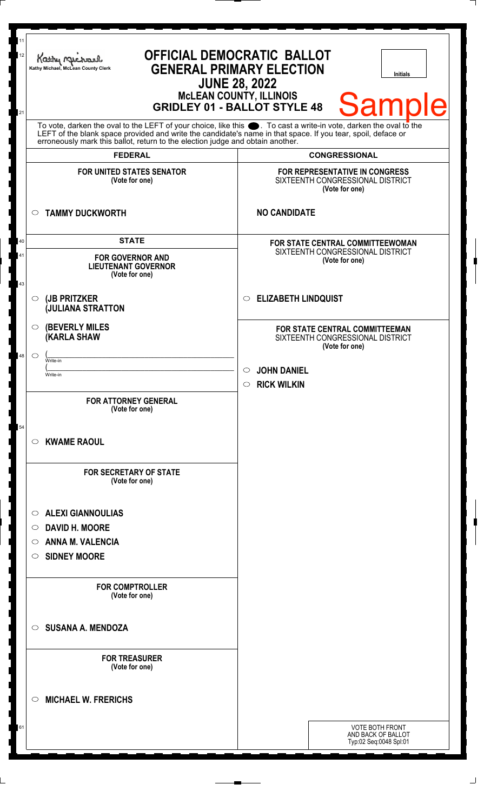| 11<br>12<br>21 | <b>OFFICIAL DEMOCRATIC BALLOT</b><br>Kathy Mic<br><b>GENERAL PRIMARY ELECTION</b><br>Kathy Michael, McLean County Clerk<br><b>Initials</b><br><b>JUNE 28, 2022</b><br>McLEAN COUNTY, ILLINOIS<br>GRIDLEY 01 - BALLOT STYLE 48<br><b>Sample</b>                   |                                                                                      |  |  |  |  |
|----------------|------------------------------------------------------------------------------------------------------------------------------------------------------------------------------------------------------------------------------------------------------------------|--------------------------------------------------------------------------------------|--|--|--|--|
|                | To vote, darken the oval to the LEFT of your choice, like this<br>LEFT of the blank space provided and write the candidate's name in that space. If you tear, spoil, deface or<br>erroneously mark this ballot, return to the election judge and obtain another. |                                                                                      |  |  |  |  |
|                | <b>FEDERAL</b>                                                                                                                                                                                                                                                   | <b>CONGRESSIONAL</b>                                                                 |  |  |  |  |
|                | <b>FOR UNITED STATES SENATOR</b><br>(Vote for one)                                                                                                                                                                                                               | FOR REPRESENTATIVE IN CONGRESS<br>SIXTEENTH CONGRESSIONAL DISTRICT<br>(Vote for one) |  |  |  |  |
| $\circ$        | <b>TAMMY DUCKWORTH</b>                                                                                                                                                                                                                                           | <b>NO CANDIDATE</b>                                                                  |  |  |  |  |
| 40             | <b>STATE</b>                                                                                                                                                                                                                                                     | <b>FOR STATE CENTRAL COMMITTEEWOMAN</b>                                              |  |  |  |  |
| 41<br>43       | <b>FOR GOVERNOR AND</b><br><b>LIEUTENANT GOVERNOR</b><br>(Vote for one)                                                                                                                                                                                          | SIXTEENTH CONGRESSIONAL DISTRICT<br>(Vote for one)                                   |  |  |  |  |
| $\circ$        | (JB PRITZKER<br><b>JULIANA STRATTON</b>                                                                                                                                                                                                                          | <b>ELIZABETH LINDQUIST</b><br>$\circ$                                                |  |  |  |  |
| $\circ$        | <b>(BEVERLY MILES)</b><br><b>(KARLA SHAW</b>                                                                                                                                                                                                                     | FOR STATE CENTRAL COMMITTEEMAN<br>SIXTEENTH CONGRESSIONAL DISTRICT<br>(Vote for one) |  |  |  |  |
| 48<br>$\circ$  | Write-in                                                                                                                                                                                                                                                         |                                                                                      |  |  |  |  |
|                | Write-in                                                                                                                                                                                                                                                         | <b>JOHN DANIEL</b><br>$\circ$                                                        |  |  |  |  |
|                |                                                                                                                                                                                                                                                                  | $\circ$ RICK WILKIN                                                                  |  |  |  |  |
| 54             | <b>FOR ATTORNEY GENERAL</b><br>(Vote for one)                                                                                                                                                                                                                    |                                                                                      |  |  |  |  |
| O              | <b>KWAME RAOUL</b>                                                                                                                                                                                                                                               |                                                                                      |  |  |  |  |
|                | <b>FOR SECRETARY OF STATE</b><br>(Vote for one)                                                                                                                                                                                                                  |                                                                                      |  |  |  |  |
| O              | <b>ALEXI GIANNOULIAS</b>                                                                                                                                                                                                                                         |                                                                                      |  |  |  |  |
| O              | <b>DAVID H. MOORE</b>                                                                                                                                                                                                                                            |                                                                                      |  |  |  |  |
| O              | <b>ANNA M. VALENCIA</b>                                                                                                                                                                                                                                          |                                                                                      |  |  |  |  |
| O              | <b>SIDNEY MOORE</b>                                                                                                                                                                                                                                              |                                                                                      |  |  |  |  |
|                | <b>FOR COMPTROLLER</b><br>(Vote for one)                                                                                                                                                                                                                         |                                                                                      |  |  |  |  |
| $\circ$        | <b>SUSANA A. MENDOZA</b>                                                                                                                                                                                                                                         |                                                                                      |  |  |  |  |
|                | <b>FOR TREASURER</b><br>(Vote for one)                                                                                                                                                                                                                           |                                                                                      |  |  |  |  |
| ◯              | <b>MICHAEL W. FRERICHS</b>                                                                                                                                                                                                                                       |                                                                                      |  |  |  |  |
| 61             |                                                                                                                                                                                                                                                                  | <b>VOTE BOTH FRONT</b><br>AND BACK OF BALLOT<br>Typ:02 Seq:0048 Spl:01               |  |  |  |  |
|                |                                                                                                                                                                                                                                                                  |                                                                                      |  |  |  |  |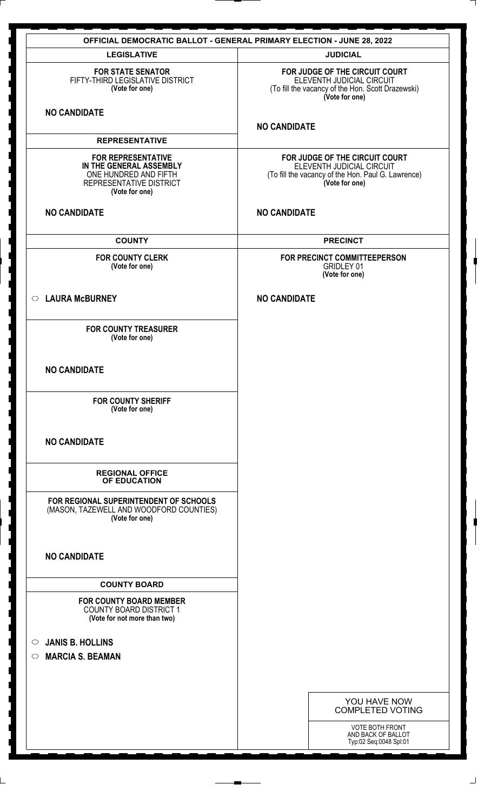| <b>OFFICIAL DEMOCRATIC BALLOT - GENERAL PRIMARY ELECTION - JUNE 28, 2022</b>                                               |                                                                                                                                     |  |  |  |  |
|----------------------------------------------------------------------------------------------------------------------------|-------------------------------------------------------------------------------------------------------------------------------------|--|--|--|--|
| <b>LEGISLATIVE</b>                                                                                                         | <b>JUDICIAL</b>                                                                                                                     |  |  |  |  |
| <b>FOR STATE SENATOR</b><br>FIFTY-THIRD LEGISLATIVE DISTRICT<br>(Vote for one)                                             | FOR JUDGE OF THE CIRCUIT COURT<br>ELEVENTH JUDICIAL CIRCUIT<br>(To fill the vacancy of the Hon. Scott Drazewski)<br>(Vote for one)  |  |  |  |  |
| <b>NO CANDIDATE</b>                                                                                                        |                                                                                                                                     |  |  |  |  |
|                                                                                                                            | <b>NO CANDIDATE</b>                                                                                                                 |  |  |  |  |
| <b>REPRESENTATIVE</b>                                                                                                      |                                                                                                                                     |  |  |  |  |
| <b>FOR REPRESENTATIVE</b><br>IN THE GENERAL ASSEMBLY<br>ONE HUNDRED AND FIFTH<br>REPRESENTATIVE DISTRICT<br>(Vote for one) | FOR JUDGE OF THE CIRCUIT COURT<br>ELEVENTH JUDICIAL CIRCUIT<br>(To fill the vacancy of the Hon. Paul G. Lawrence)<br>(Vote for one) |  |  |  |  |
| <b>NO CANDIDATE</b>                                                                                                        | <b>NO CANDIDATE</b>                                                                                                                 |  |  |  |  |
| <b>COUNTY</b>                                                                                                              | <b>PRECINCT</b>                                                                                                                     |  |  |  |  |
| <b>FOR COUNTY CLERK</b><br>(Vote for one)                                                                                  | FOR PRECINCT COMMITTEEPERSON<br><b>GRIDLEY 01</b><br>(Vote for one)                                                                 |  |  |  |  |
| C LAURA McBURNEY                                                                                                           | <b>NO CANDIDATE</b>                                                                                                                 |  |  |  |  |
| <b>FOR COUNTY TREASURER</b><br>(Vote for one)                                                                              |                                                                                                                                     |  |  |  |  |
| <b>NO CANDIDATE</b>                                                                                                        |                                                                                                                                     |  |  |  |  |
| <b>FOR COUNTY SHERIFF</b><br>(Vote for one)                                                                                |                                                                                                                                     |  |  |  |  |
| <b>NO CANDIDATE</b>                                                                                                        |                                                                                                                                     |  |  |  |  |
| <b>REGIONAL OFFICE</b><br>OF EDUCATION                                                                                     |                                                                                                                                     |  |  |  |  |
| FOR REGIONAL SUPERINTENDENT OF SCHOOLS<br>(MASON, TAZEWELL AND WOODFORD COUNTIES)<br>(Vote for one)                        |                                                                                                                                     |  |  |  |  |
| <b>NO CANDIDATE</b>                                                                                                        |                                                                                                                                     |  |  |  |  |
| <b>COUNTY BOARD</b>                                                                                                        |                                                                                                                                     |  |  |  |  |
| <b>FOR COUNTY BOARD MEMBER</b><br><b>COUNTY BOARD DISTRICT 1</b><br>(Vote for not more than two)                           |                                                                                                                                     |  |  |  |  |
| <b>JANIS B. HOLLINS</b><br>$\circ$                                                                                         |                                                                                                                                     |  |  |  |  |
| <b>MARCIA S. BEAMAN</b><br>$\circ$                                                                                         |                                                                                                                                     |  |  |  |  |
|                                                                                                                            |                                                                                                                                     |  |  |  |  |
|                                                                                                                            |                                                                                                                                     |  |  |  |  |
|                                                                                                                            | YOU HAVE NOW<br><b>COMPLETED VOTING</b>                                                                                             |  |  |  |  |
|                                                                                                                            | VOTE BOTH FRONT                                                                                                                     |  |  |  |  |
|                                                                                                                            | AND BACK OF BALLOT<br>Typ:02 Seq:0048 Spl:01                                                                                        |  |  |  |  |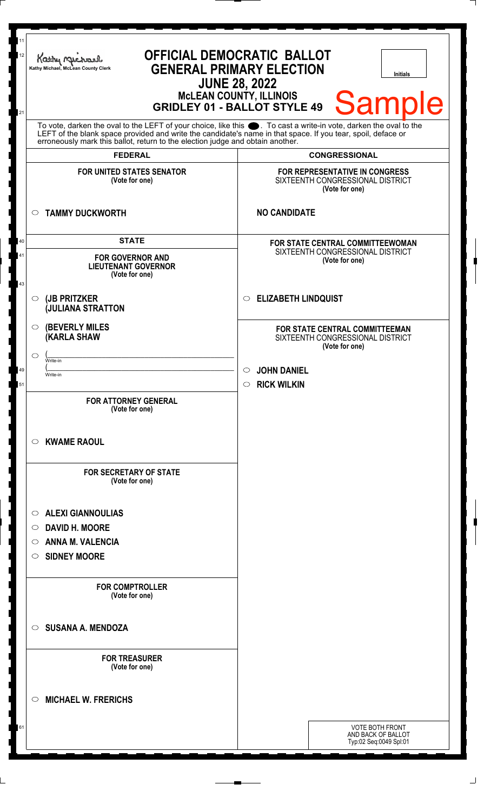| 11<br><b>OFFICIAL DEMOCRATIC BALLOT</b><br>12<br>Kathy Mic<br><b>GENERAL PRIMARY ELECTION</b><br>Kathy Michael, McLean County Clerk<br><b>Initials</b><br><b>JUNE 28, 2022</b><br><b>MCLEAN COUNTY, ILLINOIS</b><br><b>Sample</b><br><b>GRIDLEY 01 - BALLOT STYLE 49</b><br>21 |                                                                                                                                                                                                                                                                                                                                          |                                                                |                                                                                      |  |  |
|--------------------------------------------------------------------------------------------------------------------------------------------------------------------------------------------------------------------------------------------------------------------------------|------------------------------------------------------------------------------------------------------------------------------------------------------------------------------------------------------------------------------------------------------------------------------------------------------------------------------------------|----------------------------------------------------------------|--------------------------------------------------------------------------------------|--|--|
|                                                                                                                                                                                                                                                                                | To vote, darken the oval to the LEFT of your choice, like this $\bullet$ . To cast a write-in vote, darken the oval to the LEFT of the blank space provided and write the candidate's name in that space. If you tear, spoil, deface<br>erroneously mark this ballot, return to the election judge and obtain another.<br><b>FEDERAL</b> |                                                                | <b>CONGRESSIONAL</b>                                                                 |  |  |
|                                                                                                                                                                                                                                                                                | <b>FOR UNITED STATES SENATOR</b><br>(Vote for one)                                                                                                                                                                                                                                                                                       |                                                                | FOR REPRESENTATIVE IN CONGRESS<br>SIXTEENTH CONGRESSIONAL DISTRICT<br>(Vote for one) |  |  |
| $\circ$                                                                                                                                                                                                                                                                        | <b>TAMMY DUCKWORTH</b>                                                                                                                                                                                                                                                                                                                   | <b>NO CANDIDATE</b>                                            |                                                                                      |  |  |
| 40<br>41<br>43                                                                                                                                                                                                                                                                 | <b>STATE</b><br>FOR STATE CENTRAL COMMITTEEWOMAN<br>SIXTEENTH CONGRESSIONAL DISTRICT<br><b>FOR GOVERNOR AND</b><br>(Vote for one)<br><b>LIEUTENANT GOVERNOR</b><br>(Vote for one)                                                                                                                                                        |                                                                |                                                                                      |  |  |
| $\circ$                                                                                                                                                                                                                                                                        | (JB PRITZKER<br><b>JULIANA STRATTON</b>                                                                                                                                                                                                                                                                                                  | <b>ELIZABETH LINDQUIST</b><br>$\circ$                          |                                                                                      |  |  |
| O<br>◯<br>Write-in<br>49<br>Write-in<br>51                                                                                                                                                                                                                                     | <b>(BEVERLY MILES)</b><br><b>(KARLA SHAW</b>                                                                                                                                                                                                                                                                                             | <b>JOHN DANIEL</b><br>$\circ$<br><b>RICK WILKIN</b><br>$\circ$ | FOR STATE CENTRAL COMMITTEEMAN<br>SIXTEENTH CONGRESSIONAL DISTRICT<br>(Vote for one) |  |  |
| O                                                                                                                                                                                                                                                                              | <b>FOR ATTORNEY GENERAL</b><br>(Vote for one)<br><b>KWAME RAOUL</b>                                                                                                                                                                                                                                                                      |                                                                |                                                                                      |  |  |
|                                                                                                                                                                                                                                                                                | <b>FOR SECRETARY OF STATE</b><br>(Vote for one)                                                                                                                                                                                                                                                                                          |                                                                |                                                                                      |  |  |
| O<br>$\circ$<br>O<br>O                                                                                                                                                                                                                                                         | <b>ALEXI GIANNOULIAS</b><br><b>DAVID H. MOORE</b><br><b>ANNA M. VALENCIA</b><br><b>SIDNEY MOORE</b>                                                                                                                                                                                                                                      |                                                                |                                                                                      |  |  |
|                                                                                                                                                                                                                                                                                | <b>FOR COMPTROLLER</b><br>(Vote for one)                                                                                                                                                                                                                                                                                                 |                                                                |                                                                                      |  |  |
| $\circ$                                                                                                                                                                                                                                                                        | <b>SUSANA A. MENDOZA</b>                                                                                                                                                                                                                                                                                                                 |                                                                |                                                                                      |  |  |
|                                                                                                                                                                                                                                                                                | <b>FOR TREASURER</b><br>(Vote for one)                                                                                                                                                                                                                                                                                                   |                                                                |                                                                                      |  |  |
| ◯                                                                                                                                                                                                                                                                              | <b>MICHAEL W. FRERICHS</b>                                                                                                                                                                                                                                                                                                               |                                                                |                                                                                      |  |  |
| 61                                                                                                                                                                                                                                                                             |                                                                                                                                                                                                                                                                                                                                          |                                                                | <b>VOTE BOTH FRONT</b><br>AND BACK OF BALLOT<br>Typ:02 Seq:0049 Spl:01               |  |  |